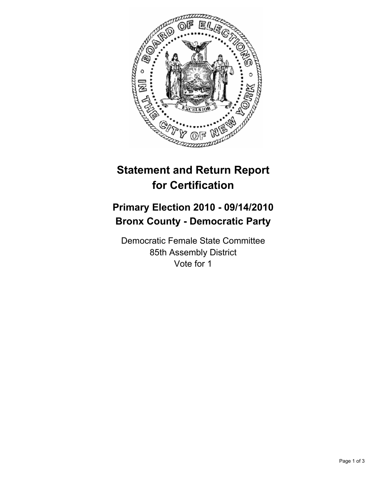

## **Statement and Return Report for Certification**

## **Primary Election 2010 - 09/14/2010 Bronx County - Democratic Party**

Democratic Female State Committee 85th Assembly District Vote for 1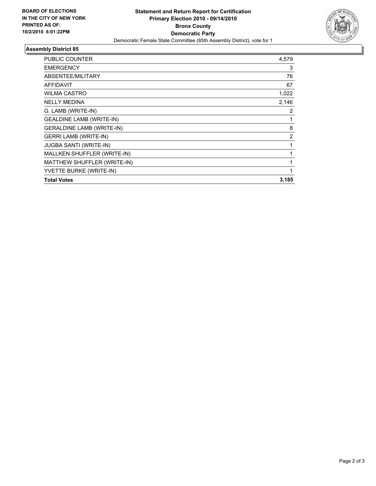

## **Assembly District 85**

| PUBLIC COUNTER                   | 4,579          |
|----------------------------------|----------------|
| <b>EMERGENCY</b>                 | 3              |
| ABSENTEE/MILITARY                | 76             |
| <b>AFFIDAVIT</b>                 | 67             |
| <b>WILMA CASTRO</b>              | 1,022          |
| <b>NELLY MEDINA</b>              | 2,146          |
| G. LAMB (WRITE-IN)               | 2              |
| <b>GEALDINE LAMB (WRITE-IN)</b>  | 1              |
| <b>GERALDINE LAMB (WRITE-IN)</b> | 8              |
| <b>GERRI LAMB (WRITE-IN)</b>     | $\overline{2}$ |
| JUGBA SANTI (WRITE-IN)           | 1              |
| MALLKEN SHUFFLER (WRITE-IN)      | 1              |
| MATTHEW SHUFFLER (WRITE-IN)      | $\mathbf{1}$   |
| YVETTE BURKE (WRITE-IN)          | 1              |
| <b>Total Votes</b>               | 3,185          |